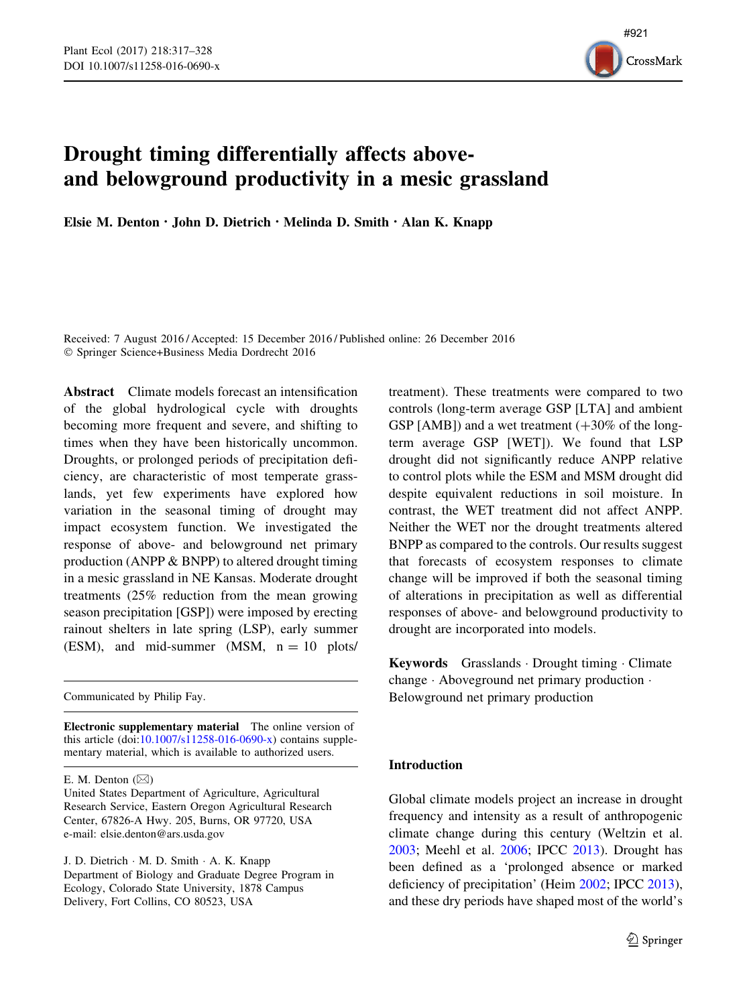

# Drought timing differentially affects aboveand belowground productivity in a mesic grassland

Elsie M. Denton  $\cdot$  John D. Dietrich  $\cdot$  Melinda D. Smith  $\cdot$  Alan K. Knapp

Received: 7 August 2016 / Accepted: 15 December 2016 / Published online: 26 December 2016 - Springer Science+Business Media Dordrecht 2016

Abstract Climate models forecast an intensification of the global hydrological cycle with droughts becoming more frequent and severe, and shifting to times when they have been historically uncommon. Droughts, or prolonged periods of precipitation deficiency, are characteristic of most temperate grasslands, yet few experiments have explored how variation in the seasonal timing of drought may impact ecosystem function. We investigated the response of above- and belowground net primary production (ANPP & BNPP) to altered drought timing in a mesic grassland in NE Kansas. Moderate drought treatments (25% reduction from the mean growing season precipitation [GSP]) were imposed by erecting rainout shelters in late spring (LSP), early summer (ESM), and mid-summer (MSM,  $n = 10$  plots/

Communicated by Philip Fay.

Electronic supplementary material The online version of this article (doi[:10.1007/s11258-016-0690-x\)](http://dx.doi.org/10.1007/s11258-016-0690-x) contains supplementary material, which is available to authorized users.

J. D. Dietrich - M. D. Smith - A. K. Knapp Department of Biology and Graduate Degree Program in Ecology, Colorado State University, 1878 Campus Delivery, Fort Collins, CO 80523, USA

treatment). These treatments were compared to two controls (long-term average GSP [LTA] and ambient GSP [AMB]) and a wet treatment  $(+30\% \text{ of the long-}$ term average GSP [WET]). We found that LSP drought did not significantly reduce ANPP relative to control plots while the ESM and MSM drought did despite equivalent reductions in soil moisture. In contrast, the WET treatment did not affect ANPP. Neither the WET nor the drought treatments altered BNPP as compared to the controls. Our results suggest that forecasts of ecosystem responses to climate change will be improved if both the seasonal timing of alterations in precipitation as well as differential responses of above- and belowground productivity to drought are incorporated into models.

Keywords Grasslands · Drought timing · Climate change - Aboveground net primary production - Belowground net primary production

## Introduction

Global climate models project an increase in drought frequency and intensity as a result of anthropogenic climate change during this century (Weltzin et al. [2003;](#page-11-0) Meehl et al. [2006;](#page-10-0) IPCC [2013\)](#page-10-0). Drought has been defined as a 'prolonged absence or marked deficiency of precipitation' (Heim [2002](#page-10-0); IPCC [2013](#page-10-0)), and these dry periods have shaped most of the world's

E. M. Denton  $(\boxtimes)$ 

United States Department of Agriculture, Agricultural Research Service, Eastern Oregon Agricultural Research Center, 67826-A Hwy. 205, Burns, OR 97720, USA e-mail: elsie.denton@ars.usda.gov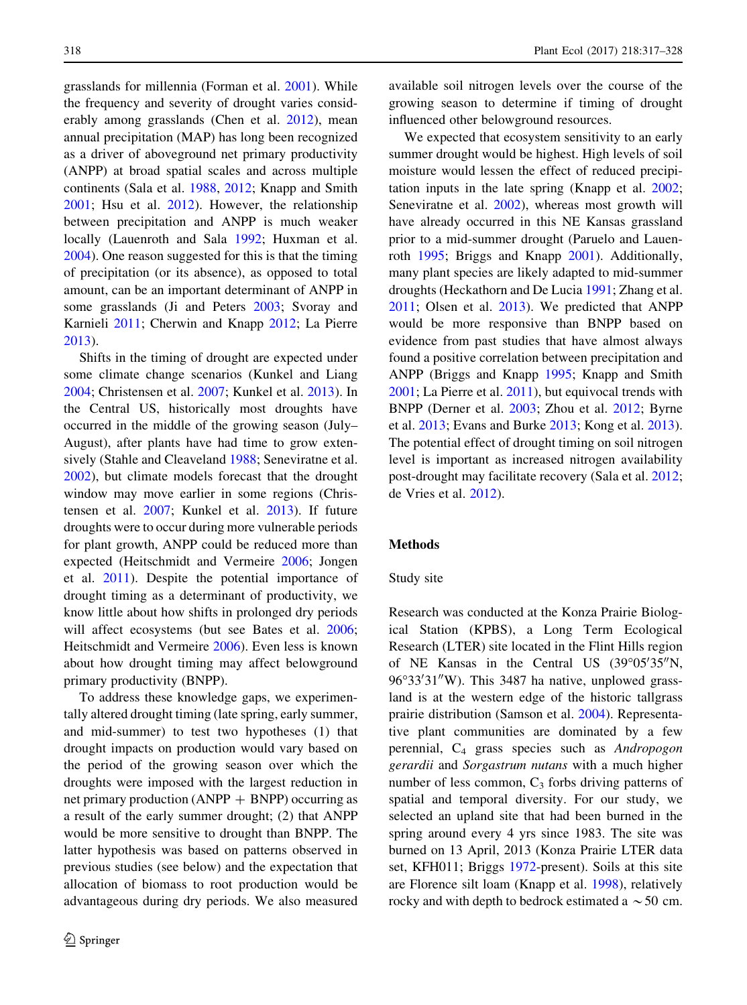grasslands for millennia (Forman et al. [2001\)](#page-10-0). While the frequency and severity of drought varies considerably among grasslands (Chen et al. [2012](#page-9-0)), mean annual precipitation (MAP) has long been recognized as a driver of aboveground net primary productivity (ANPP) at broad spatial scales and across multiple continents (Sala et al. [1988,](#page-11-0) [2012;](#page-11-0) Knapp and Smith [2001;](#page-10-0) Hsu et al. [2012\)](#page-10-0). However, the relationship between precipitation and ANPP is much weaker locally (Lauenroth and Sala [1992;](#page-10-0) Huxman et al. [2004\)](#page-10-0). One reason suggested for this is that the timing of precipitation (or its absence), as opposed to total amount, can be an important determinant of ANPP in some grasslands (Ji and Peters [2003;](#page-10-0) Svoray and Karnieli [2011](#page-11-0); Cherwin and Knapp [2012](#page-9-0); La Pierre [2013\)](#page-10-0).

Shifts in the timing of drought are expected under some climate change scenarios (Kunkel and Liang [2004;](#page-10-0) Christensen et al. [2007;](#page-9-0) Kunkel et al. [2013](#page-10-0)). In the Central US, historically most droughts have occurred in the middle of the growing season (July– August), after plants have had time to grow exten-sively (Stahle and Cleaveland [1988;](#page-11-0) Seneviratne et al. [2002\)](#page-11-0), but climate models forecast that the drought window may move earlier in some regions (Christensen et al. [2007](#page-9-0); Kunkel et al. [2013](#page-10-0)). If future droughts were to occur during more vulnerable periods for plant growth, ANPP could be reduced more than expected (Heitschmidt and Vermeire [2006](#page-10-0); Jongen et al. [2011\)](#page-10-0). Despite the potential importance of drought timing as a determinant of productivity, we know little about how shifts in prolonged dry periods will affect ecosystems (but see Bates et al. [2006](#page-9-0); Heitschmidt and Vermeire [2006](#page-10-0)). Even less is known about how drought timing may affect belowground primary productivity (BNPP).

To address these knowledge gaps, we experimentally altered drought timing (late spring, early summer, and mid-summer) to test two hypotheses (1) that drought impacts on production would vary based on the period of the growing season over which the droughts were imposed with the largest reduction in net primary production (ANPP  $+$  BNPP) occurring as a result of the early summer drought; (2) that ANPP would be more sensitive to drought than BNPP. The latter hypothesis was based on patterns observed in previous studies (see below) and the expectation that allocation of biomass to root production would be advantageous during dry periods. We also measured available soil nitrogen levels over the course of the growing season to determine if timing of drought influenced other belowground resources.

We expected that ecosystem sensitivity to an early summer drought would be highest. High levels of soil moisture would lessen the effect of reduced precipitation inputs in the late spring (Knapp et al. [2002](#page-10-0); Seneviratne et al. [2002\)](#page-11-0), whereas most growth will have already occurred in this NE Kansas grassland prior to a mid-summer drought (Paruelo and Lauenroth [1995;](#page-11-0) Briggs and Knapp [2001](#page-9-0)). Additionally, many plant species are likely adapted to mid-summer droughts (Heckathorn and De Lucia [1991;](#page-10-0) Zhang et al. [2011;](#page-11-0) Olsen et al. [2013](#page-10-0)). We predicted that ANPP would be more responsive than BNPP based on evidence from past studies that have almost always found a positive correlation between precipitation and ANPP (Briggs and Knapp [1995](#page-9-0); Knapp and Smith [2001;](#page-10-0) La Pierre et al. [2011](#page-10-0)), but equivocal trends with BNPP (Derner et al. [2003](#page-10-0); Zhou et al. [2012](#page-11-0); Byrne et al. [2013;](#page-9-0) Evans and Burke [2013;](#page-10-0) Kong et al. [2013](#page-10-0)). The potential effect of drought timing on soil nitrogen level is important as increased nitrogen availability post-drought may facilitate recovery (Sala et al. [2012;](#page-11-0) de Vries et al. [2012](#page-10-0)).

#### Methods

#### Study site

Research was conducted at the Konza Prairie Biological Station (KPBS), a Long Term Ecological Research (LTER) site located in the Flint Hills region of NE Kansas in the Central US (39°05'35"N, 96°33′31″W). This 3487 ha native, unplowed grassland is at the western edge of the historic tallgrass prairie distribution (Samson et al. [2004\)](#page-11-0). Representative plant communities are dominated by a few perennial, C4 grass species such as Andropogon gerardii and Sorgastrum nutans with a much higher number of less common,  $C_3$  forbs driving patterns of spatial and temporal diversity. For our study, we selected an upland site that had been burned in the spring around every 4 yrs since 1983. The site was burned on 13 April, 2013 (Konza Prairie LTER data set, KFH011; Briggs [1972-](#page-9-0)present). Soils at this site are Florence silt loam (Knapp et al. [1998](#page-10-0)), relatively rocky and with depth to bedrock estimated a  $\sim$  50 cm.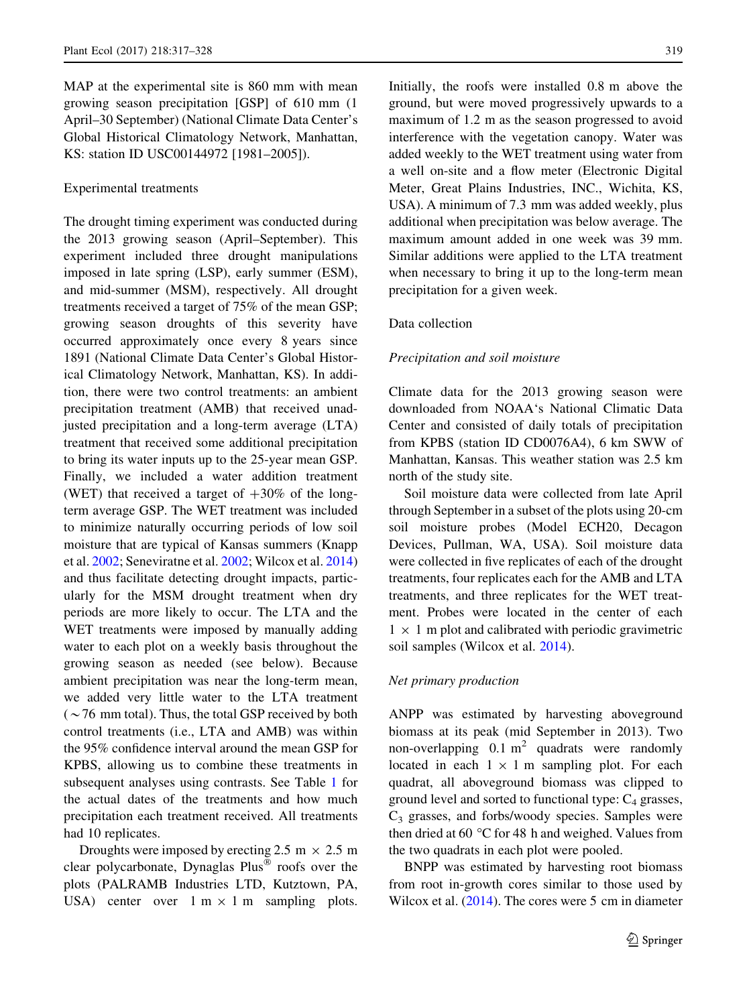MAP at the experimental site is 860 mm with mean growing season precipitation [GSP] of 610 mm (1 April–30 September) (National Climate Data Center's Global Historical Climatology Network, Manhattan, KS: station ID USC00144972 [1981–2005]).

## Experimental treatments

The drought timing experiment was conducted during the 2013 growing season (April–September). This experiment included three drought manipulations imposed in late spring (LSP), early summer (ESM), and mid-summer (MSM), respectively. All drought treatments received a target of 75% of the mean GSP; growing season droughts of this severity have occurred approximately once every 8 years since 1891 (National Climate Data Center's Global Historical Climatology Network, Manhattan, KS). In addition, there were two control treatments: an ambient precipitation treatment (AMB) that received unadjusted precipitation and a long-term average (LTA) treatment that received some additional precipitation to bring its water inputs up to the 25-year mean GSP. Finally, we included a water addition treatment (WET) that received a target of  $+30\%$  of the longterm average GSP. The WET treatment was included to minimize naturally occurring periods of low soil moisture that are typical of Kansas summers (Knapp et al. [2002;](#page-10-0) Seneviratne et al. [2002](#page-11-0); Wilcox et al. [2014\)](#page-11-0) and thus facilitate detecting drought impacts, particularly for the MSM drought treatment when dry periods are more likely to occur. The LTA and the WET treatments were imposed by manually adding water to each plot on a weekly basis throughout the growing season as needed (see below). Because ambient precipitation was near the long-term mean, we added very little water to the LTA treatment  $({\sim}76$  mm total). Thus, the total GSP received by both control treatments (i.e., LTA and AMB) was within the 95% confidence interval around the mean GSP for KPBS, allowing us to combine these treatments in subsequent analyses using contrasts. See Table [1](#page-3-0) for the actual dates of the treatments and how much precipitation each treatment received. All treatments had 10 replicates.

Droughts were imposed by erecting 2.5 m  $\times$  2.5 m clear polycarbonate, Dynaglas Plus<sup>®</sup> roofs over the plots (PALRAMB Industries LTD, Kutztown, PA, USA) center over  $1 \text{ m} \times 1 \text{ m}$  sampling plots. Initially, the roofs were installed 0.8 m above the ground, but were moved progressively upwards to a maximum of 1.2 m as the season progressed to avoid interference with the vegetation canopy. Water was added weekly to the WET treatment using water from a well on-site and a flow meter (Electronic Digital Meter, Great Plains Industries, INC., Wichita, KS, USA). A minimum of 7.3 mm was added weekly, plus additional when precipitation was below average. The maximum amount added in one week was 39 mm. Similar additions were applied to the LTA treatment when necessary to bring it up to the long-term mean precipitation for a given week.

## Data collection

#### Precipitation and soil moisture

Climate data for the 2013 growing season were downloaded from NOAA's National Climatic Data Center and consisted of daily totals of precipitation from KPBS (station ID CD0076A4), 6 km SWW of Manhattan, Kansas. This weather station was 2.5 km north of the study site.

Soil moisture data were collected from late April through September in a subset of the plots using 20-cm soil moisture probes (Model ECH20, Decagon Devices, Pullman, WA, USA). Soil moisture data were collected in five replicates of each of the drought treatments, four replicates each for the AMB and LTA treatments, and three replicates for the WET treatment. Probes were located in the center of each  $1 \times 1$  m plot and calibrated with periodic gravimetric soil samples (Wilcox et al. [2014](#page-11-0)).

## Net primary production

ANPP was estimated by harvesting aboveground biomass at its peak (mid September in 2013). Two non-overlapping  $0.1 \text{ m}^2$  quadrats were randomly located in each  $1 \times 1$  m sampling plot. For each quadrat, all aboveground biomass was clipped to ground level and sorted to functional type:  $C_4$  grasses,  $C_3$  grasses, and forbs/woody species. Samples were then dried at 60  $\degree$ C for 48 h and weighed. Values from the two quadrats in each plot were pooled.

BNPP was estimated by harvesting root biomass from root in-growth cores similar to those used by Wilcox et al. ([2014](#page-11-0)). The cores were 5 cm in diameter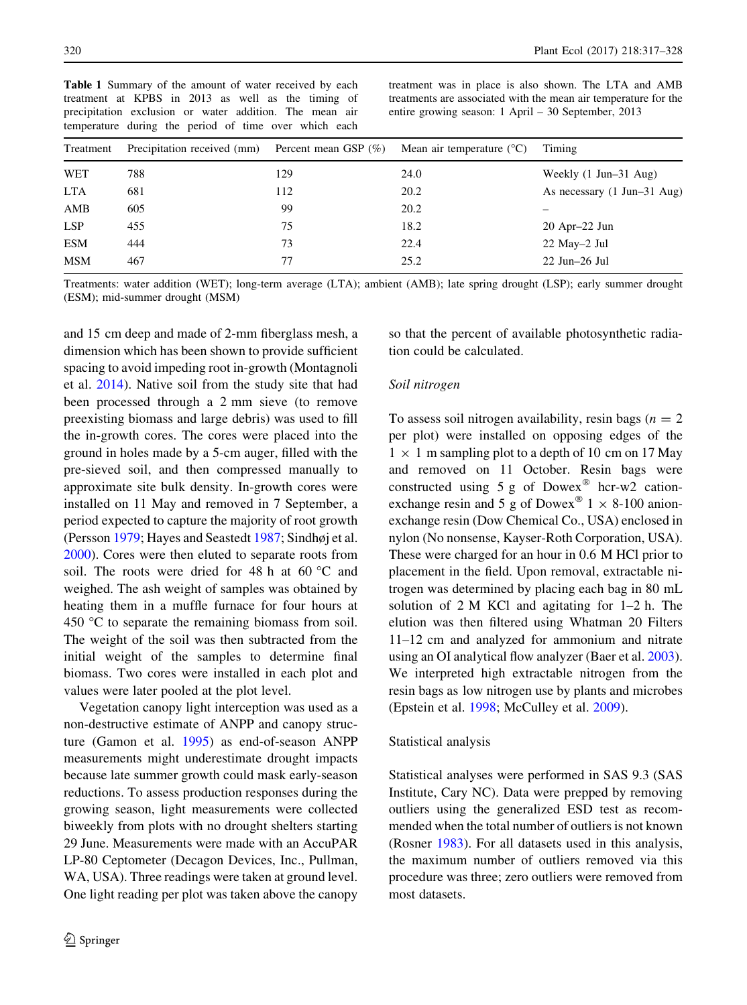<span id="page-3-0"></span>Table 1 Summary of the amount of water received by each treatment at KPBS in 2013 as well as the timing of precipitation exclusion or water addition. The mean air temperature during the period of time over which each

treatment was in place is also shown. The LTA and AMB treatments are associated with the mean air temperature for the entire growing season: 1 April – 30 September, 2013

| Treatment  | Precipitation received (mm) | Percent mean GSP $(\%)$ | Mean air temperature $(^{\circ}C)$ | Timing                                          |
|------------|-----------------------------|-------------------------|------------------------------------|-------------------------------------------------|
| WET        | 788                         | 129                     | 24.0                               | Weekly $(1 \text{ Jun} - 31 \text{ Aug})$       |
| <b>LTA</b> | 681                         | 112                     | 20.2                               | As necessary $(1 \text{ Jun} - 31 \text{ Aug})$ |
| AMB        | 605                         | 99                      | 20.2                               |                                                 |
| <b>LSP</b> | 455                         | 75                      | 18.2                               | $20$ Apr $-22$ Jun                              |
| <b>ESM</b> | 444                         | 73                      | 22.4                               | $22$ May $-2$ Jul                               |
| <b>MSM</b> | 467                         | 77                      | 25.2                               | $22$ Jun $-26$ Jul                              |

Treatments: water addition (WET); long-term average (LTA); ambient (AMB); late spring drought (LSP); early summer drought (ESM); mid-summer drought (MSM)

and 15 cm deep and made of 2-mm fiberglass mesh, a dimension which has been shown to provide sufficient spacing to avoid impeding root in-growth (Montagnoli et al. [2014\)](#page-10-0). Native soil from the study site that had been processed through a 2 mm sieve (to remove preexisting biomass and large debris) was used to fill the in-growth cores. The cores were placed into the ground in holes made by a 5-cm auger, filled with the pre-sieved soil, and then compressed manually to approximate site bulk density. In-growth cores were installed on 11 May and removed in 7 September, a period expected to capture the majority of root growth (Persson [1979;](#page-11-0) Hayes and Seastedt [1987;](#page-10-0) Sindhøj et al. [2000\)](#page-11-0). Cores were then eluted to separate roots from soil. The roots were dried for 48 h at 60  $^{\circ}$ C and weighed. The ash weight of samples was obtained by heating them in a muffle furnace for four hours at 450  $\degree$ C to separate the remaining biomass from soil. The weight of the soil was then subtracted from the initial weight of the samples to determine final biomass. Two cores were installed in each plot and values were later pooled at the plot level.

Vegetation canopy light interception was used as a non-destructive estimate of ANPP and canopy structure (Gamon et al. [1995](#page-10-0)) as end-of-season ANPP measurements might underestimate drought impacts because late summer growth could mask early-season reductions. To assess production responses during the growing season, light measurements were collected biweekly from plots with no drought shelters starting 29 June. Measurements were made with an AccuPAR LP-80 Ceptometer (Decagon Devices, Inc., Pullman, WA, USA). Three readings were taken at ground level. One light reading per plot was taken above the canopy so that the percent of available photosynthetic radiation could be calculated.

## Soil nitrogen

To assess soil nitrogen availability, resin bags ( $n = 2$ ) per plot) were installed on opposing edges of the  $1 \times 1$  m sampling plot to a depth of 10 cm on 17 May and removed on 11 October. Resin bags were constructed using  $5 g$  of Dowex<sup>®</sup> hcr-w2 cationexchange resin and 5 g of Dowex<sup>®</sup>  $1 \times 8-100$  anionexchange resin (Dow Chemical Co., USA) enclosed in nylon (No nonsense, Kayser-Roth Corporation, USA). These were charged for an hour in 0.6 M HCl prior to placement in the field. Upon removal, extractable nitrogen was determined by placing each bag in 80 mL solution of 2 M KCl and agitating for 1–2 h. The elution was then filtered using Whatman 20 Filters 11–12 cm and analyzed for ammonium and nitrate using an OI analytical flow analyzer (Baer et al. [2003](#page-9-0)). We interpreted high extractable nitrogen from the resin bags as low nitrogen use by plants and microbes (Epstein et al. [1998;](#page-10-0) McCulley et al. [2009\)](#page-10-0).

## Statistical analysis

Statistical analyses were performed in SAS 9.3 (SAS Institute, Cary NC). Data were prepped by removing outliers using the generalized ESD test as recommended when the total number of outliers is not known (Rosner [1983\)](#page-11-0). For all datasets used in this analysis, the maximum number of outliers removed via this procedure was three; zero outliers were removed from most datasets.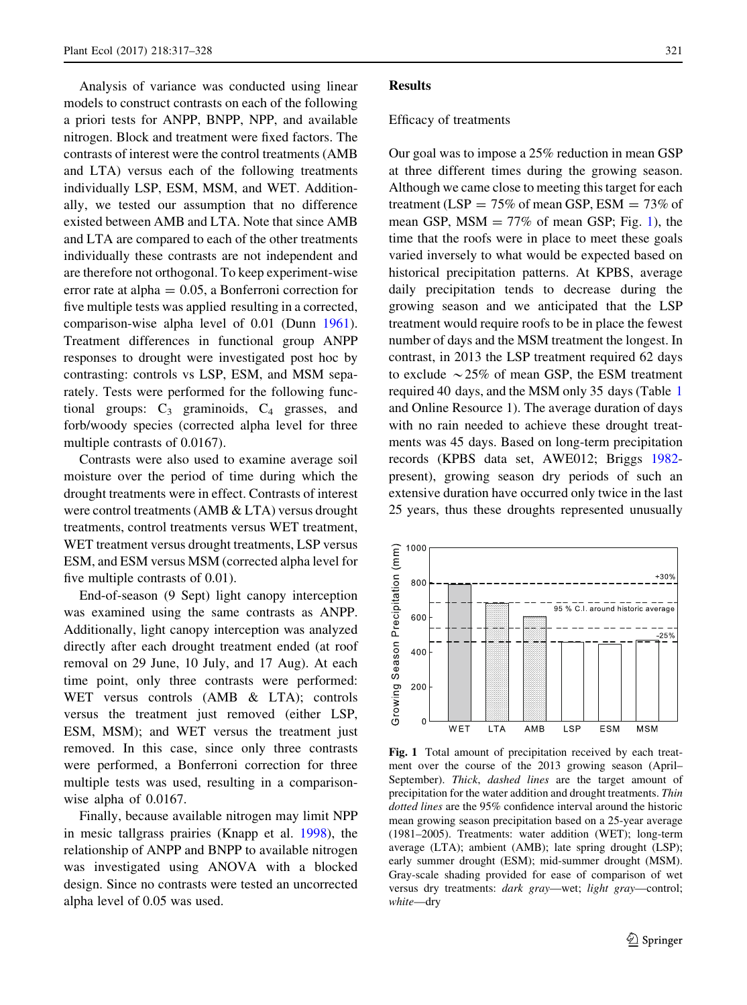<span id="page-4-0"></span>Analysis of variance was conducted using linear models to construct contrasts on each of the following a priori tests for ANPP, BNPP, NPP, and available nitrogen. Block and treatment were fixed factors. The contrasts of interest were the control treatments (AMB and LTA) versus each of the following treatments individually LSP, ESM, MSM, and WET. Additionally, we tested our assumption that no difference existed between AMB and LTA. Note that since AMB and LTA are compared to each of the other treatments individually these contrasts are not independent and are therefore not orthogonal. To keep experiment-wise error rate at alpha  $= 0.05$ , a Bonferroni correction for five multiple tests was applied resulting in a corrected, comparison-wise alpha level of 0.01 (Dunn [1961](#page-10-0)). Treatment differences in functional group ANPP responses to drought were investigated post hoc by contrasting: controls vs LSP, ESM, and MSM separately. Tests were performed for the following functional groups:  $C_3$  graminoids,  $C_4$  grasses, and forb/woody species (corrected alpha level for three multiple contrasts of 0.0167).

Contrasts were also used to examine average soil moisture over the period of time during which the drought treatments were in effect. Contrasts of interest were control treatments (AMB & LTA) versus drought treatments, control treatments versus WET treatment, WET treatment versus drought treatments, LSP versus ESM, and ESM versus MSM (corrected alpha level for five multiple contrasts of 0.01).

End-of-season (9 Sept) light canopy interception was examined using the same contrasts as ANPP. Additionally, light canopy interception was analyzed directly after each drought treatment ended (at roof removal on 29 June, 10 July, and 17 Aug). At each time point, only three contrasts were performed: WET versus controls (AMB & LTA); controls versus the treatment just removed (either LSP, ESM, MSM); and WET versus the treatment just removed. In this case, since only three contrasts were performed, a Bonferroni correction for three multiple tests was used, resulting in a comparisonwise alpha of 0.0167.

Finally, because available nitrogen may limit NPP in mesic tallgrass prairies (Knapp et al. [1998\)](#page-10-0), the relationship of ANPP and BNPP to available nitrogen was investigated using ANOVA with a blocked design. Since no contrasts were tested an uncorrected alpha level of 0.05 was used.

#### Results

#### Efficacy of treatments

Our goal was to impose a 25% reduction in mean GSP at three different times during the growing season. Although we came close to meeting this target for each treatment (LSP =  $75\%$  of mean GSP, ESM =  $73\%$  of mean GSP,  $MSM = 77\%$  of mean GSP; Fig. 1), the time that the roofs were in place to meet these goals varied inversely to what would be expected based on historical precipitation patterns. At KPBS, average daily precipitation tends to decrease during the growing season and we anticipated that the LSP treatment would require roofs to be in place the fewest number of days and the MSM treatment the longest. In contrast, in 2013 the LSP treatment required 62 days to exclude  $\sim$  25% of mean GSP, the ESM treatment required 40 days, and the MSM only 35 days (Table [1](#page-3-0) and Online Resource 1). The average duration of days with no rain needed to achieve these drought treatments was 45 days. Based on long-term precipitation records (KPBS data set, AWE012; Briggs [1982](#page-9-0) present), growing season dry periods of such an extensive duration have occurred only twice in the last 25 years, thus these droughts represented unusually



Fig. 1 Total amount of precipitation received by each treatment over the course of the 2013 growing season (April– September). Thick, dashed lines are the target amount of precipitation for the water addition and drought treatments. Thin dotted lines are the 95% confidence interval around the historic mean growing season precipitation based on a 25-year average (1981–2005). Treatments: water addition (WET); long-term average (LTA); ambient (AMB); late spring drought (LSP); early summer drought (ESM); mid-summer drought (MSM). Gray-scale shading provided for ease of comparison of wet versus dry treatments: dark gray—wet; light gray—control; white—dry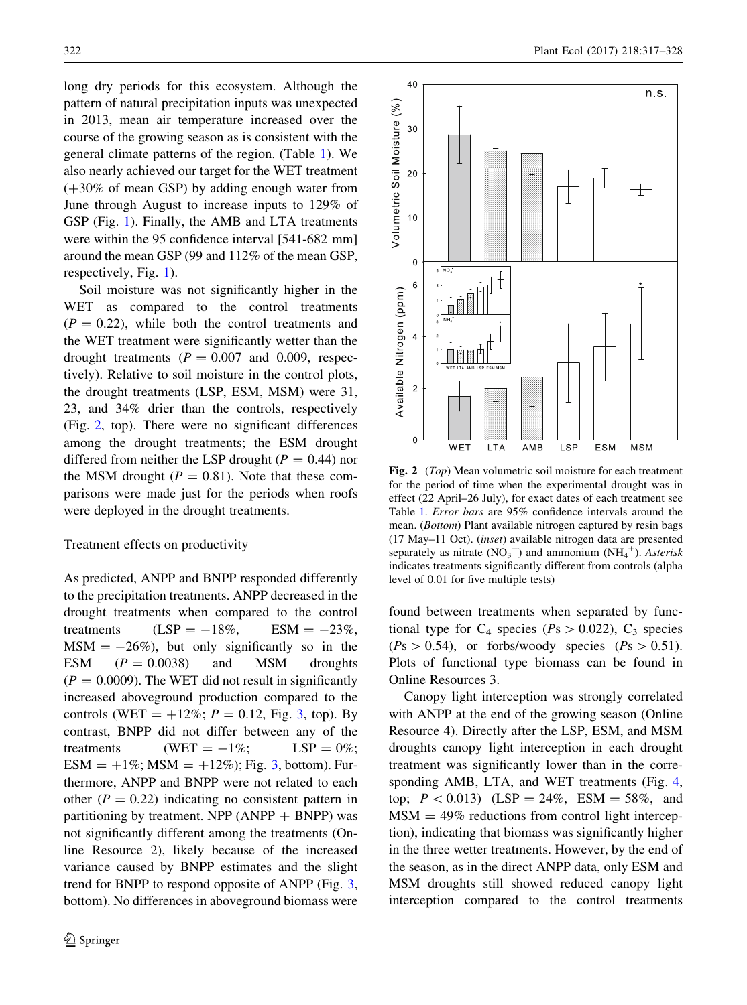<span id="page-5-0"></span>long dry periods for this ecosystem. Although the pattern of natural precipitation inputs was unexpected in 2013, mean air temperature increased over the course of the growing season as is consistent with the general climate patterns of the region. (Table [1](#page-3-0)). We also nearly achieved our target for the WET treatment  $(+30\% \text{ of mean GSP})$  by adding enough water from June through August to increase inputs to 129% of GSP (Fig. [1\)](#page-4-0). Finally, the AMB and LTA treatments were within the 95 confidence interval [541-682 mm] around the mean GSP (99 and 112% of the mean GSP, respectively, Fig. [1\)](#page-4-0).

Soil moisture was not significantly higher in the WET as compared to the control treatments  $(P = 0.22)$ , while both the control treatments and the WET treatment were significantly wetter than the drought treatments  $(P = 0.007$  and 0.009, respectively). Relative to soil moisture in the control plots, the drought treatments (LSP, ESM, MSM) were 31, 23, and 34% drier than the controls, respectively (Fig. 2, top). There were no significant differences among the drought treatments; the ESM drought differed from neither the LSP drought ( $P = 0.44$ ) nor the MSM drought ( $P = 0.81$ ). Note that these comparisons were made just for the periods when roofs were deployed in the drought treatments.

#### Treatment effects on productivity

As predicted, ANPP and BNPP responded differently to the precipitation treatments. ANPP decreased in the drought treatments when compared to the control treatments  $(LSP = -18\%, \text{ESM} = -23\%,$  $MSM = -26\%)$ , but only significantly so in the ESM  $(P = 0.0038)$  and MSM droughts  $(P = 0.0009)$ . The WET did not result in significantly increased aboveground production compared to the controls (WET =  $+12\%$ ;  $P = 0.12$ , Fig. [3](#page-6-0), top). By contrast, BNPP did not differ between any of the treatments  $(WET = -1\%;$  LSP = 0%; ESM =  $+1\%$ ; MSM =  $+12\%$ ); Fig. [3,](#page-6-0) bottom). Furthermore, ANPP and BNPP were not related to each other ( $P = 0.22$ ) indicating no consistent pattern in partitioning by treatment. NPP  $(ANPP + BNPP)$  was not significantly different among the treatments (Online Resource 2), likely because of the increased variance caused by BNPP estimates and the slight trend for BNPP to respond opposite of ANPP (Fig. [3,](#page-6-0) bottom). No differences in aboveground biomass were



Fig. 2 (Top) Mean volumetric soil moisture for each treatment for the period of time when the experimental drought was in effect (22 April–26 July), for exact dates of each treatment see Table [1](#page-3-0). Error bars are 95% confidence intervals around the mean. (Bottom) Plant available nitrogen captured by resin bags (17 May–11 Oct). (inset) available nitrogen data are presented separately as nitrate  $(NO<sub>3</sub><sup>-</sup>)$  and ammonium  $(NH<sub>4</sub><sup>+</sup>)$ . Asterisk indicates treatments significantly different from controls (alpha level of 0.01 for five multiple tests)

found between treatments when separated by functional type for  $C_4$  species ( $Ps > 0.022$ ),  $C_3$  species  $(Ps > 0.54)$ , or forbs/woody species  $(Ps > 0.51)$ . Plots of functional type biomass can be found in Online Resources 3.

Canopy light interception was strongly correlated with ANPP at the end of the growing season (Online Resource 4). Directly after the LSP, ESM, and MSM droughts canopy light interception in each drought treatment was significantly lower than in the corresponding AMB, LTA, and WET treatments (Fig. [4,](#page-7-0) top;  $P < 0.013$ ) (LSP = 24%, ESM = 58%, and  $MSM = 49\%$  reductions from control light interception), indicating that biomass was significantly higher in the three wetter treatments. However, by the end of the season, as in the direct ANPP data, only ESM and MSM droughts still showed reduced canopy light interception compared to the control treatments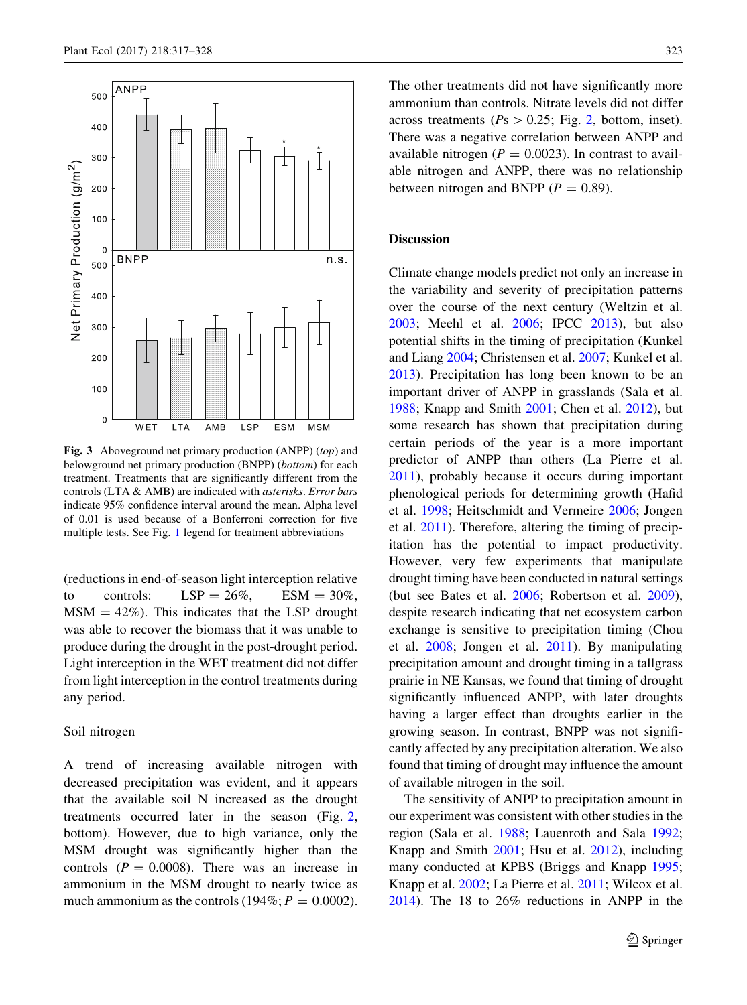<span id="page-6-0"></span>

Fig. 3 Aboveground net primary production (ANPP) (top) and belowground net primary production (BNPP) (bottom) for each treatment. Treatments that are significantly different from the controls (LTA & AMB) are indicated with asterisks. Error bars indicate 95% confidence interval around the mean. Alpha level of 0.01 is used because of a Bonferroni correction for five multiple tests. See Fig. [1](#page-4-0) legend for treatment abbreviations

(reductions in end-of-season light interception relative to controls:  $LSP = 26\%, ESM = 30\%,$  $MSM = 42\%)$ . This indicates that the LSP drought was able to recover the biomass that it was unable to produce during the drought in the post-drought period. Light interception in the WET treatment did not differ from light interception in the control treatments during any period.

## Soil nitrogen

A trend of increasing available nitrogen with decreased precipitation was evident, and it appears that the available soil N increased as the drought treatments occurred later in the season (Fig. [2,](#page-5-0) bottom). However, due to high variance, only the MSM drought was significantly higher than the controls  $(P = 0.0008)$ . There was an increase in ammonium in the MSM drought to nearly twice as much ammonium as the controls (194%;  $P = 0.0002$ ).

The other treatments did not have significantly more ammonium than controls. Nitrate levels did not differ across treatments ( $Ps > 0.25$  $Ps > 0.25$  $Ps > 0.25$ ; Fig. 2, bottom, inset). There was a negative correlation between ANPP and available nitrogen ( $P = 0.0023$ ). In contrast to available nitrogen and ANPP, there was no relationship between nitrogen and BNPP ( $P = 0.89$ ).

## Discussion

Climate change models predict not only an increase in the variability and severity of precipitation patterns over the course of the next century (Weltzin et al. [2003;](#page-11-0) Meehl et al. [2006](#page-10-0); IPCC [2013\)](#page-10-0), but also potential shifts in the timing of precipitation (Kunkel and Liang [2004](#page-10-0); Christensen et al. [2007;](#page-9-0) Kunkel et al. [2013\)](#page-10-0). Precipitation has long been known to be an important driver of ANPP in grasslands (Sala et al. [1988;](#page-11-0) Knapp and Smith [2001](#page-10-0); Chen et al. [2012\)](#page-9-0), but some research has shown that precipitation during certain periods of the year is a more important predictor of ANPP than others (La Pierre et al. [2011\)](#page-10-0), probably because it occurs during important phenological periods for determining growth (Hafid et al. [1998;](#page-10-0) Heitschmidt and Vermeire [2006;](#page-10-0) Jongen et al. [2011](#page-10-0)). Therefore, altering the timing of precipitation has the potential to impact productivity. However, very few experiments that manipulate drought timing have been conducted in natural settings (but see Bates et al. [2006;](#page-9-0) Robertson et al. [2009](#page-11-0)), despite research indicating that net ecosystem carbon exchange is sensitive to precipitation timing (Chou et al. [2008;](#page-9-0) Jongen et al. [2011\)](#page-10-0). By manipulating precipitation amount and drought timing in a tallgrass prairie in NE Kansas, we found that timing of drought significantly influenced ANPP, with later droughts having a larger effect than droughts earlier in the growing season. In contrast, BNPP was not significantly affected by any precipitation alteration. We also found that timing of drought may influence the amount of available nitrogen in the soil.

The sensitivity of ANPP to precipitation amount in our experiment was consistent with other studies in the region (Sala et al. [1988;](#page-11-0) Lauenroth and Sala [1992](#page-10-0); Knapp and Smith [2001](#page-10-0); Hsu et al. [2012\)](#page-10-0), including many conducted at KPBS (Briggs and Knapp [1995](#page-9-0); Knapp et al. [2002](#page-10-0); La Pierre et al. [2011](#page-10-0); Wilcox et al. [2014\)](#page-11-0). The 18 to 26% reductions in ANPP in the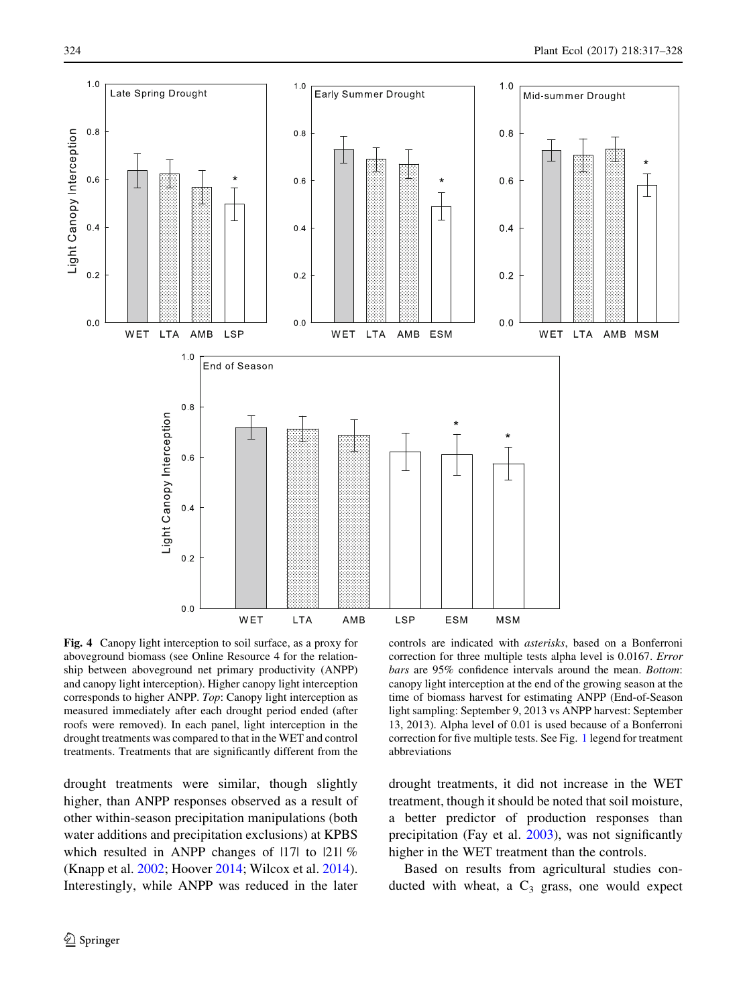<span id="page-7-0"></span>

Fig. 4 Canopy light interception to soil surface, as a proxy for aboveground biomass (see Online Resource 4 for the relationship between aboveground net primary productivity (ANPP) and canopy light interception). Higher canopy light interception corresponds to higher ANPP. Top: Canopy light interception as measured immediately after each drought period ended (after roofs were removed). In each panel, light interception in the drought treatments was compared to that in the WET and control treatments. Treatments that are significantly different from the

drought treatments were similar, though slightly higher, than ANPP responses observed as a result of other within-season precipitation manipulations (both water additions and precipitation exclusions) at KPBS which resulted in ANPP changes of 1171 to 1211 % (Knapp et al. [2002;](#page-10-0) Hoover [2014;](#page-10-0) Wilcox et al. [2014](#page-11-0)). Interestingly, while ANPP was reduced in the later

controls are indicated with asterisks, based on a Bonferroni correction for three multiple tests alpha level is 0.0167. Error bars are 95% confidence intervals around the mean. Bottom: canopy light interception at the end of the growing season at the time of biomass harvest for estimating ANPP (End-of-Season light sampling: September 9, 2013 vs ANPP harvest: September 13, 2013). Alpha level of 0.01 is used because of a Bonferroni correction for five multiple tests. See Fig. [1](#page-4-0) legend for treatment abbreviations

drought treatments, it did not increase in the WET treatment, though it should be noted that soil moisture, a better predictor of production responses than precipitation (Fay et al. [2003\)](#page-10-0), was not significantly higher in the WET treatment than the controls.

Based on results from agricultural studies conducted with wheat, a  $C_3$  grass, one would expect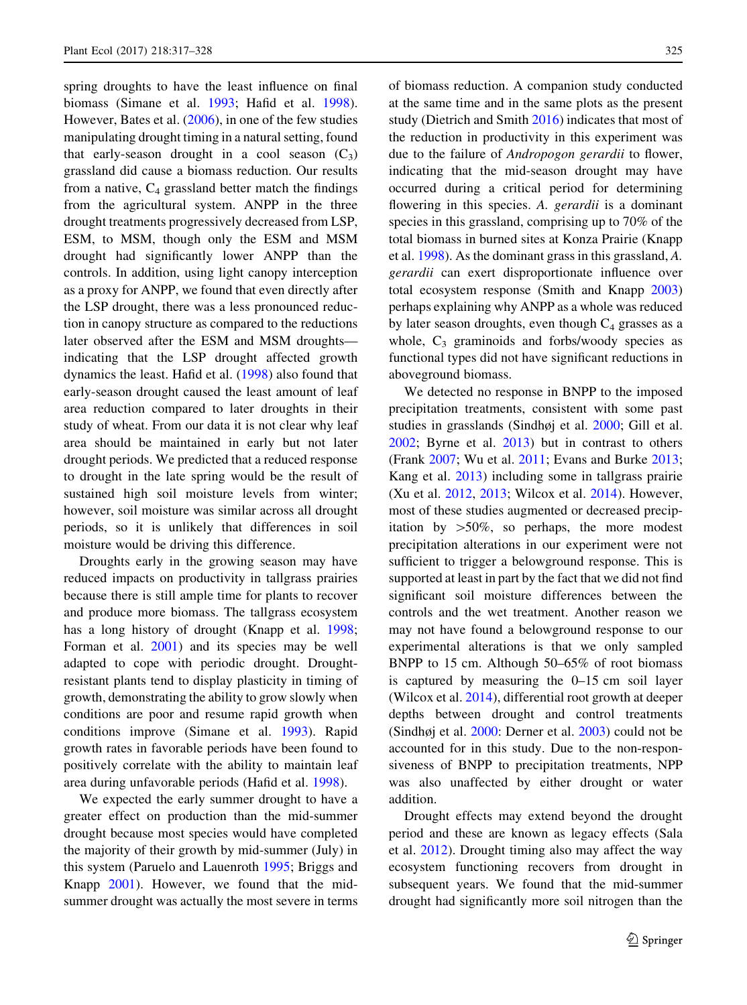spring droughts to have the least influence on final biomass (Simane et al. [1993](#page-11-0); Hafid et al. [1998](#page-10-0)). However, Bates et al. [\(2006](#page-9-0)), in one of the few studies manipulating drought timing in a natural setting, found that early-season drought in a cool season  $(C_3)$ grassland did cause a biomass reduction. Our results from a native,  $C_4$  grassland better match the findings from the agricultural system. ANPP in the three drought treatments progressively decreased from LSP, ESM, to MSM, though only the ESM and MSM drought had significantly lower ANPP than the controls. In addition, using light canopy interception as a proxy for ANPP, we found that even directly after the LSP drought, there was a less pronounced reduction in canopy structure as compared to the reductions later observed after the ESM and MSM droughts indicating that the LSP drought affected growth dynamics the least. Hafid et al. ([1998\)](#page-10-0) also found that early-season drought caused the least amount of leaf area reduction compared to later droughts in their study of wheat. From our data it is not clear why leaf area should be maintained in early but not later drought periods. We predicted that a reduced response to drought in the late spring would be the result of sustained high soil moisture levels from winter; however, soil moisture was similar across all drought periods, so it is unlikely that differences in soil moisture would be driving this difference.

Droughts early in the growing season may have reduced impacts on productivity in tallgrass prairies because there is still ample time for plants to recover and produce more biomass. The tallgrass ecosystem has a long history of drought (Knapp et al. [1998](#page-10-0); Forman et al. [2001\)](#page-10-0) and its species may be well adapted to cope with periodic drought. Droughtresistant plants tend to display plasticity in timing of growth, demonstrating the ability to grow slowly when conditions are poor and resume rapid growth when conditions improve (Simane et al. [1993\)](#page-11-0). Rapid growth rates in favorable periods have been found to positively correlate with the ability to maintain leaf area during unfavorable periods (Hafid et al. [1998\)](#page-10-0).

We expected the early summer drought to have a greater effect on production than the mid-summer drought because most species would have completed the majority of their growth by mid-summer (July) in this system (Paruelo and Lauenroth [1995;](#page-11-0) Briggs and Knapp [2001](#page-9-0)). However, we found that the midsummer drought was actually the most severe in terms of biomass reduction. A companion study conducted at the same time and in the same plots as the present study (Dietrich and Smith [2016\)](#page-10-0) indicates that most of the reduction in productivity in this experiment was due to the failure of Andropogon gerardii to flower, indicating that the mid-season drought may have occurred during a critical period for determining flowering in this species. A. *gerardii* is a dominant species in this grassland, comprising up to 70% of the total biomass in burned sites at Konza Prairie (Knapp et al. [1998\)](#page-10-0). As the dominant grass in this grassland, A. gerardii can exert disproportionate influence over total ecosystem response (Smith and Knapp [2003\)](#page-11-0) perhaps explaining why ANPP as a whole was reduced by later season droughts, even though  $C_4$  grasses as a whole,  $C_3$  graminoids and forbs/woody species as functional types did not have significant reductions in aboveground biomass.

We detected no response in BNPP to the imposed precipitation treatments, consistent with some past studies in grasslands (Sindhøj et al. [2000](#page-11-0); Gill et al. [2002;](#page-10-0) Byrne et al. [2013](#page-9-0)) but in contrast to others (Frank [2007](#page-10-0); Wu et al. [2011](#page-11-0); Evans and Burke [2013](#page-10-0); Kang et al. [2013\)](#page-10-0) including some in tallgrass prairie (Xu et al. [2012](#page-11-0), [2013;](#page-11-0) Wilcox et al. [2014](#page-11-0)). However, most of these studies augmented or decreased precipitation by  $>50\%$ , so perhaps, the more modest precipitation alterations in our experiment were not sufficient to trigger a belowground response. This is supported at least in part by the fact that we did not find significant soil moisture differences between the controls and the wet treatment. Another reason we may not have found a belowground response to our experimental alterations is that we only sampled BNPP to 15 cm. Although 50–65% of root biomass is captured by measuring the 0–15 cm soil layer (Wilcox et al. [2014](#page-11-0)), differential root growth at deeper depths between drought and control treatments (Sindhøj et al. [2000:](#page-11-0) Derner et al. [2003\)](#page-10-0) could not be accounted for in this study. Due to the non-responsiveness of BNPP to precipitation treatments, NPP was also unaffected by either drought or water addition.

Drought effects may extend beyond the drought period and these are known as legacy effects (Sala et al. [2012](#page-11-0)). Drought timing also may affect the way ecosystem functioning recovers from drought in subsequent years. We found that the mid-summer drought had significantly more soil nitrogen than the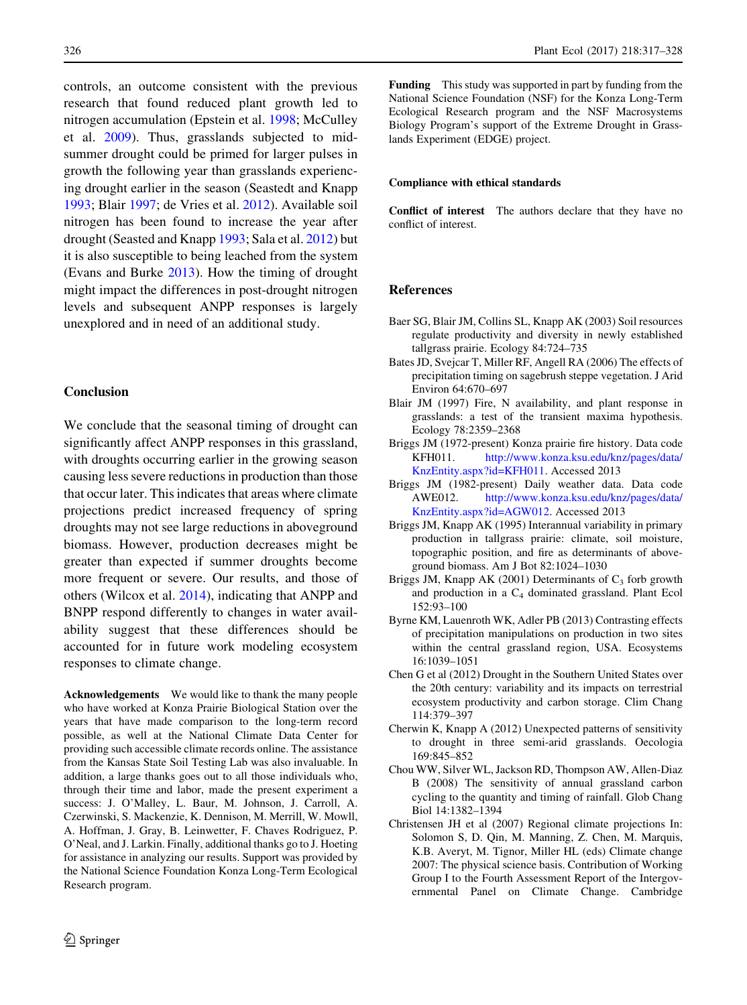<span id="page-9-0"></span>controls, an outcome consistent with the previous research that found reduced plant growth led to nitrogen accumulation (Epstein et al. [1998;](#page-10-0) McCulley et al. [2009](#page-10-0)). Thus, grasslands subjected to midsummer drought could be primed for larger pulses in growth the following year than grasslands experiencing drought earlier in the season (Seastedt and Knapp [1993;](#page-11-0) Blair 1997; de Vries et al. [2012\)](#page-10-0). Available soil nitrogen has been found to increase the year after drought (Seasted and Knapp [1993](#page-11-0); Sala et al. [2012](#page-11-0)) but it is also susceptible to being leached from the system (Evans and Burke [2013](#page-10-0)). How the timing of drought might impact the differences in post-drought nitrogen levels and subsequent ANPP responses is largely unexplored and in need of an additional study.

#### Conclusion

We conclude that the seasonal timing of drought can significantly affect ANPP responses in this grassland, with droughts occurring earlier in the growing season causing less severe reductions in production than those that occur later. This indicates that areas where climate projections predict increased frequency of spring droughts may not see large reductions in aboveground biomass. However, production decreases might be greater than expected if summer droughts become more frequent or severe. Our results, and those of others (Wilcox et al. [2014](#page-11-0)), indicating that ANPP and BNPP respond differently to changes in water availability suggest that these differences should be accounted for in future work modeling ecosystem responses to climate change.

Acknowledgements We would like to thank the many people who have worked at Konza Prairie Biological Station over the years that have made comparison to the long-term record possible, as well at the National Climate Data Center for providing such accessible climate records online. The assistance from the Kansas State Soil Testing Lab was also invaluable. In addition, a large thanks goes out to all those individuals who, through their time and labor, made the present experiment a success: J. O'Malley, L. Baur, M. Johnson, J. Carroll, A. Czerwinski, S. Mackenzie, K. Dennison, M. Merrill, W. Mowll, A. Hoffman, J. Gray, B. Leinwetter, F. Chaves Rodriguez, P. O'Neal, and J. Larkin. Finally, additional thanks go to J. Hoeting for assistance in analyzing our results. Support was provided by the National Science Foundation Konza Long-Term Ecological Research program.

Funding This study was supported in part by funding from the National Science Foundation (NSF) for the Konza Long-Term Ecological Research program and the NSF Macrosystems Biology Program's support of the Extreme Drought in Grasslands Experiment (EDGE) project.

#### Compliance with ethical standards

Conflict of interest The authors declare that they have no conflict of interest.

#### References

- Baer SG, Blair JM, Collins SL, Knapp AK (2003) Soil resources regulate productivity and diversity in newly established tallgrass prairie. Ecology 84:724–735
- Bates JD, Svejcar T, Miller RF, Angell RA (2006) The effects of precipitation timing on sagebrush steppe vegetation. J Arid Environ 64:670–697
- Blair JM (1997) Fire, N availability, and plant response in grasslands: a test of the transient maxima hypothesis. Ecology 78:2359–2368
- Briggs JM (1972-present) Konza prairie fire history. Data code KFH011. [http://www.konza.ksu.edu/knz/pages/data/](http://www.konza.ksu.edu/knz/pages/data/KnzEntity.aspx?id=KFH011) [KnzEntity.aspx?id=KFH011](http://www.konza.ksu.edu/knz/pages/data/KnzEntity.aspx?id=KFH011). Accessed 2013
- Briggs JM (1982-present) Daily weather data. Data code AWE012. [http://www.konza.ksu.edu/knz/pages/data/](http://www.konza.ksu.edu/knz/pages/data/KnzEntity.aspx?id=AGW012) [KnzEntity.aspx?id=AGW012.](http://www.konza.ksu.edu/knz/pages/data/KnzEntity.aspx?id=AGW012) Accessed 2013
- Briggs JM, Knapp AK (1995) Interannual variability in primary production in tallgrass prairie: climate, soil moisture, topographic position, and fire as determinants of aboveground biomass. Am J Bot 82:1024–1030
- Briggs JM, Knapp AK (2001) Determinants of  $C_3$  forb growth and production in a C4 dominated grassland. Plant Ecol 152:93–100
- Byrne KM, Lauenroth WK, Adler PB (2013) Contrasting effects of precipitation manipulations on production in two sites within the central grassland region, USA. Ecosystems 16:1039–1051
- Chen G et al (2012) Drought in the Southern United States over the 20th century: variability and its impacts on terrestrial ecosystem productivity and carbon storage. Clim Chang 114:379–397
- Cherwin K, Knapp A (2012) Unexpected patterns of sensitivity to drought in three semi-arid grasslands. Oecologia 169:845–852
- Chou WW, Silver WL, Jackson RD, Thompson AW, Allen-Diaz B (2008) The sensitivity of annual grassland carbon cycling to the quantity and timing of rainfall. Glob Chang Biol 14:1382–1394
- Christensen JH et al (2007) Regional climate projections In: Solomon S, D. Qin, M. Manning, Z. Chen, M. Marquis, K.B. Averyt, M. Tignor, Miller HL (eds) Climate change 2007: The physical science basis. Contribution of Working Group I to the Fourth Assessment Report of the Intergovernmental Panel on Climate Change. Cambridge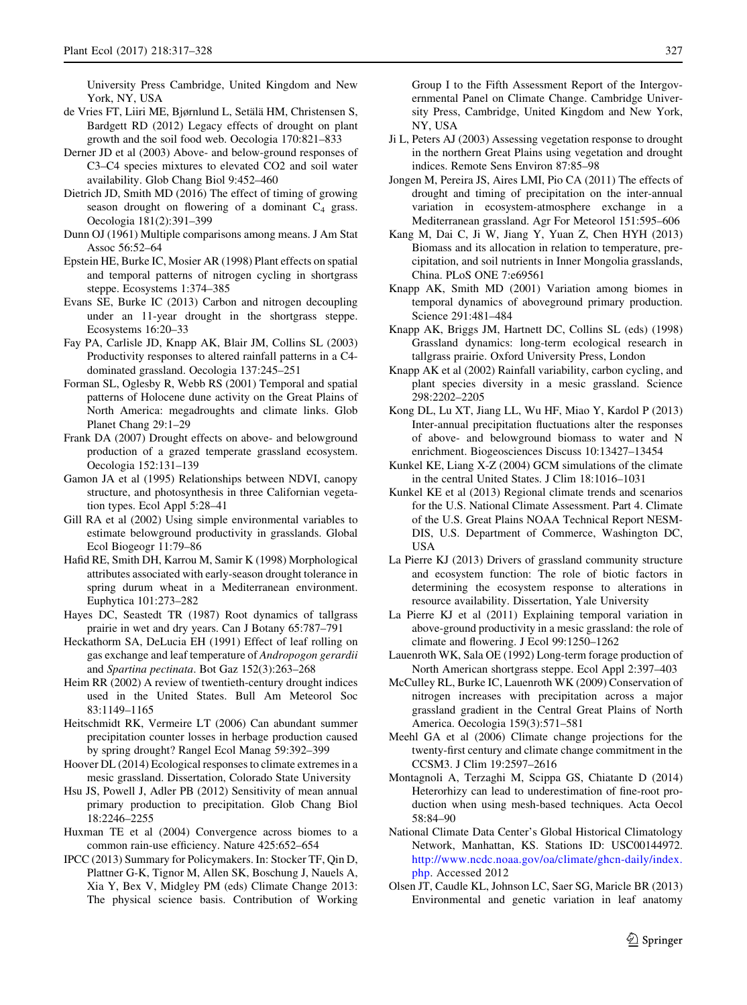<span id="page-10-0"></span>University Press Cambridge, United Kingdom and New York, NY, USA

- de Vries FT, Liiri ME, Bjørnlund L, Setälä HM, Christensen S, Bardgett RD (2012) Legacy effects of drought on plant growth and the soil food web. Oecologia 170:821–833
- Derner JD et al (2003) Above- and below-ground responses of C3–C4 species mixtures to elevated CO2 and soil water availability. Glob Chang Biol 9:452–460
- Dietrich JD, Smith MD (2016) The effect of timing of growing season drought on flowering of a dominant  $C_4$  grass. Oecologia 181(2):391–399
- Dunn OJ (1961) Multiple comparisons among means. J Am Stat Assoc 56:52–64
- Epstein HE, Burke IC, Mosier AR (1998) Plant effects on spatial and temporal patterns of nitrogen cycling in shortgrass steppe. Ecosystems 1:374–385
- Evans SE, Burke IC (2013) Carbon and nitrogen decoupling under an 11-year drought in the shortgrass steppe. Ecosystems 16:20–33
- Fay PA, Carlisle JD, Knapp AK, Blair JM, Collins SL (2003) Productivity responses to altered rainfall patterns in a C4 dominated grassland. Oecologia 137:245–251
- Forman SL, Oglesby R, Webb RS (2001) Temporal and spatial patterns of Holocene dune activity on the Great Plains of North America: megadroughts and climate links. Glob Planet Chang 29:1–29
- Frank DA (2007) Drought effects on above- and belowground production of a grazed temperate grassland ecosystem. Oecologia 152:131–139
- Gamon JA et al (1995) Relationships between NDVI, canopy structure, and photosynthesis in three Californian vegetation types. Ecol Appl 5:28–41
- Gill RA et al (2002) Using simple environmental variables to estimate belowground productivity in grasslands. Global Ecol Biogeogr 11:79–86
- Hafid RE, Smith DH, Karrou M, Samir K (1998) Morphological attributes associated with early-season drought tolerance in spring durum wheat in a Mediterranean environment. Euphytica 101:273–282
- Hayes DC, Seastedt TR (1987) Root dynamics of tallgrass prairie in wet and dry years. Can J Botany 65:787–791
- Heckathorm SA, DeLucia EH (1991) Effect of leaf rolling on gas exchange and leaf temperature of Andropogon gerardii and Spartina pectinata. Bot Gaz 152(3):263–268
- Heim RR (2002) A review of twentieth-century drought indices used in the United States. Bull Am Meteorol Soc 83:1149–1165
- Heitschmidt RK, Vermeire LT (2006) Can abundant summer precipitation counter losses in herbage production caused by spring drought? Rangel Ecol Manag 59:392–399
- Hoover DL (2014) Ecological responses to climate extremes in a mesic grassland. Dissertation, Colorado State University
- Hsu JS, Powell J, Adler PB (2012) Sensitivity of mean annual primary production to precipitation. Glob Chang Biol 18:2246–2255
- Huxman TE et al (2004) Convergence across biomes to a common rain-use efficiency. Nature 425:652–654
- IPCC (2013) Summary for Policymakers. In: Stocker TF, Qin D, Plattner G-K, Tignor M, Allen SK, Boschung J, Nauels A, Xia Y, Bex V, Midgley PM (eds) Climate Change 2013: The physical science basis. Contribution of Working

Group I to the Fifth Assessment Report of the Intergovernmental Panel on Climate Change. Cambridge University Press, Cambridge, United Kingdom and New York, NY, USA

- Ji L, Peters AJ (2003) Assessing vegetation response to drought in the northern Great Plains using vegetation and drought indices. Remote Sens Environ 87:85–98
- Jongen M, Pereira JS, Aires LMI, Pio CA (2011) The effects of drought and timing of precipitation on the inter-annual variation in ecosystem-atmosphere exchange in a Mediterranean grassland. Agr For Meteorol 151:595–606
- Kang M, Dai C, Ji W, Jiang Y, Yuan Z, Chen HYH (2013) Biomass and its allocation in relation to temperature, precipitation, and soil nutrients in Inner Mongolia grasslands, China. PLoS ONE 7:e69561
- Knapp AK, Smith MD (2001) Variation among biomes in temporal dynamics of aboveground primary production. Science 291:481–484
- Knapp AK, Briggs JM, Hartnett DC, Collins SL (eds) (1998) Grassland dynamics: long-term ecological research in tallgrass prairie. Oxford University Press, London
- Knapp AK et al (2002) Rainfall variability, carbon cycling, and plant species diversity in a mesic grassland. Science 298:2202–2205
- Kong DL, Lu XT, Jiang LL, Wu HF, Miao Y, Kardol P (2013) Inter-annual precipitation fluctuations alter the responses of above- and belowground biomass to water and N enrichment. Biogeosciences Discuss 10:13427–13454
- Kunkel KE, Liang X-Z (2004) GCM simulations of the climate in the central United States. J Clim 18:1016–1031
- Kunkel KE et al (2013) Regional climate trends and scenarios for the U.S. National Climate Assessment. Part 4. Climate of the U.S. Great Plains NOAA Technical Report NESM-DIS, U.S. Department of Commerce, Washington DC, USA
- La Pierre KJ (2013) Drivers of grassland community structure and ecosystem function: The role of biotic factors in determining the ecosystem response to alterations in resource availability. Dissertation, Yale University
- La Pierre KJ et al (2011) Explaining temporal variation in above-ground productivity in a mesic grassland: the role of climate and flowering. J Ecol 99:1250–1262
- Lauenroth WK, Sala OE (1992) Long-term forage production of North American shortgrass steppe. Ecol Appl 2:397–403
- McCulley RL, Burke IC, Lauenroth WK (2009) Conservation of nitrogen increases with precipitation across a major grassland gradient in the Central Great Plains of North America. Oecologia 159(3):571–581
- Meehl GA et al (2006) Climate change projections for the twenty-first century and climate change commitment in the CCSM3. J Clim 19:2597–2616
- Montagnoli A, Terzaghi M, Scippa GS, Chiatante D (2014) Heterorhizy can lead to underestimation of fine-root production when using mesh-based techniques. Acta Oecol 58:84–90
- National Climate Data Center's Global Historical Climatology Network, Manhattan, KS. Stations ID: USC00144972. [http://www.ncdc.noaa.gov/oa/climate/ghcn-daily/index.](http://www.ncdc.noaa.gov/oa/climate/ghcn-daily/index.php) [php](http://www.ncdc.noaa.gov/oa/climate/ghcn-daily/index.php). Accessed 2012
- Olsen JT, Caudle KL, Johnson LC, Saer SG, Maricle BR (2013) Environmental and genetic variation in leaf anatomy